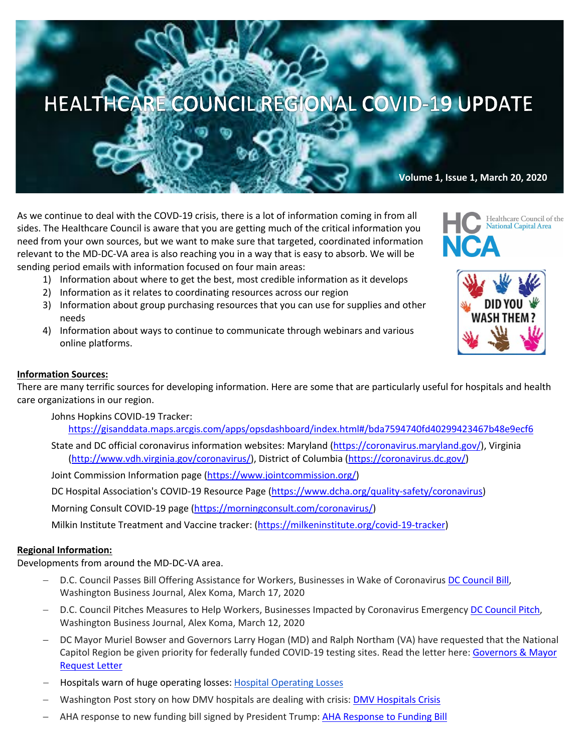# HEALTHCARE COUNCIL REGIONAL COVID-19 UPDATE

# **Volume 1, Issue 1, March 20, 2020**

As we continue to deal with the COVD-19 crisis, there is a lot of information coming in from all sides. The Healthcare Council is aware that you are getting much of the critical information you need from your own sources, but we want to make sure that targeted, coordinated information relevant to the MD-DC-VA area is also reaching you in a way that is easy to absorb. We will be sending period emails with information focused on four main areas:

- 1) Information about where to get the best, most credible information as it develops
- 2) Information as it relates to coordinating resources across our region
- 3) Information about group purchasing resources that you can use for supplies and other needs
- 4) Information about ways to continue to communicate through webinars and various online platforms.





### **Information Sources:**

There are many terrific sources for developing information. Here are some that are particularly useful for hospitals and health care organizations in our region.

Johns Hopkins COVID-19 Tracker:

https://gisanddata.maps.arcgis.com/apps/opsdashboard/index.html#/bda7594740fd40299423467b48e9ecf6

State and DC official coronavirus information websites: Maryland (https://coronavirus.maryland.gov/), Virginia (http://www.vdh.virginia.gov/coronavirus/), District of Columbia (https://coronavirus.dc.gov/)

Joint Commission Information page (https://www.jointcommission.org/)

DC Hospital Association's COVID-19 Resource Page (https://www.dcha.org/quality-safety/coronavirus)

Morning Consult COVID-19 page (https://morningconsult.com/coronavirus/)

Milkin Institute Treatment and Vaccine tracker: (https://milkeninstitute.org/covid-19-tracker)

#### **Regional Information:**

Developments from around the MD-DC-VA area.

- D.C. Council Passes Bill Offering Assistance for Workers, Businesses in Wake of Coronavirus DC Council Bill, Washington Business Journal, Alex Koma, March 17, 2020
- D.C. Council Pitches Measures to Help Workers, Businesses Impacted by Coronavirus Emergency DC Council Pitch, Washington Business Journal, Alex Koma, March 12, 2020
- DC Mayor Muriel Bowser and Governors Larry Hogan (MD) and Ralph Northam (VA) have requested that the National Capitol Region be given priority for federally funded COVID-19 testing sites. Read the letter here: Governors & Mayor Request Letter
- Hospitals warn of huge operating losses: Hospital Operating Losses
- Washington Post story on how DMV hospitals are dealing with crisis: **DMV Hospitals Crisis**
- AHA response to new funding bill signed by President Trump: AHA Response to Funding Bill